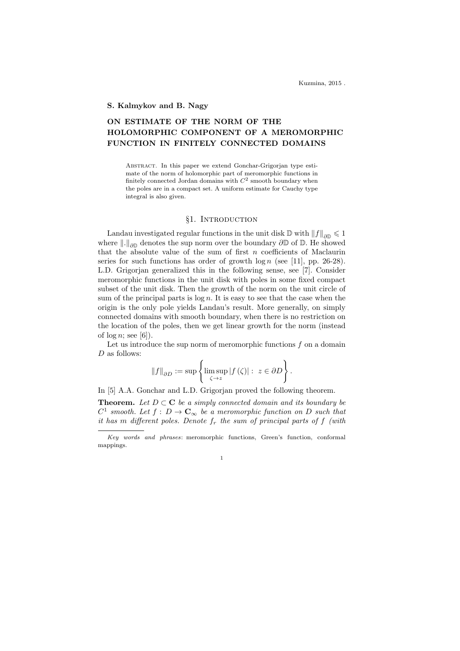#### S. Kalmykov and B. Nagy

# ON ESTIMATE OF THE NORM OF THE HOLOMORPHIC COMPONENT OF A MEROMORPHIC FUNCTION IN FINITELY CONNECTED DOMAINS

Abstract. In this paper we extend Gonchar-Grigorjan type estimate of the norm of holomorphic part of meromorphic functions in finitely connected Jordan domains with  $C^2$  smooth boundary when the poles are in a compact set. A uniform estimate for Cauchy type integral is also given.

## §1. INTRODUCTION

Landau investigated regular functions in the unit disk  $\mathbb D$  with  $||f||_{\partial \mathbb D} \leq 1$ where  $\|.\|_{\partial\mathbb{D}}$  denotes the sup norm over the boundary  $\partial\mathbb{D}$  of  $\mathbb{D}$ . He showed that the absolute value of the sum of first  $n$  coefficients of Maclaurin series for such functions has order of growth  $\log n$  (see [11], pp. 26-28). L.D. Grigorjan generalized this in the following sense, see [7]. Consider meromorphic functions in the unit disk with poles in some fixed compact subset of the unit disk. Then the growth of the norm on the unit circle of sum of the principal parts is  $\log n$ . It is easy to see that the case when the origin is the only pole yields Landau's result. More generally, on simply connected domains with smooth boundary, when there is no restriction on the location of the poles, then we get linear growth for the norm (instead of  $\log n$ ; see [6]).

Let us introduce the sup norm of meromorphic functions  $f$  on a domain D as follows:

$$
||f||_{\partial D} := \sup \left\{ \limsup_{\zeta \to z} |f(\zeta)| : z \in \partial D \right\}.
$$

In [5] A.A. Gonchar and L.D. Grigorjan proved the following theorem.

**Theorem.** Let  $D \subset \mathbb{C}$  be a simply connected domain and its boundary be  $C^1$  smooth. Let  $f: D \to \mathbf{C}_{\infty}$  be a meromorphic function on D such that it has m different poles. Denote  $f_r$  the sum of principal parts of  $f$  (with

1

Key words and phrases: meromorphic functions, Green's function, conformal mappings.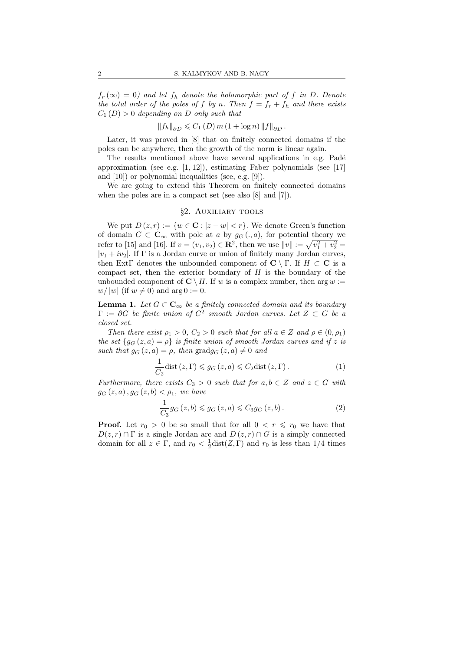$f_r(\infty) = 0$  and let  $f_h$  denote the holomorphic part of f in D. Denote the total order of the poles of f by n. Then  $f = f_r + f_h$  and there exists  $C_1(D) > 0$  depending on D only such that

$$
||f_h||_{\partial D} \leqslant C_1(D) m (1 + \log n) ||f||_{\partial D}.
$$

Later, it was proved in [8] that on finitely connected domains if the poles can be anywhere, then the growth of the norm is linear again.

The results mentioned above have several applications in e.g. Padé approximation (see e.g. [1, 12]), estimating Faber polynomials (see [17] and [10]) or polynomial inequalities (see, e.g. [9]).

We are going to extend this Theorem on finitely connected domains when the poles are in a compact set (see also [8] and [7]).

## §2. Auxiliary tools

We put  $D(z, r) := \{w \in \mathbb{C} : |z - w| < r\}$ . We denote Green's function of domain  $G \subset \mathbf{C}_{\infty}$  with pole at a by  $g_G(.)$ , for potential theory we refer to [15] and [16]. If  $v = (v_1, v_2) \in \mathbb{R}^2$ , then we use  $||v|| := \sqrt{v_1^2 + v_2^2} =$  $|v_1 + iv_2|$ . If  $\Gamma$  is a Jordan curve or union of finitely many Jordan curves, then ExtΓ denotes the unbounded component of  $C \setminus \Gamma$ . If  $H \subset C$  is a compact set, then the exterior boundary of  $H$  is the boundary of the unbounded component of  $\mathbb{C} \setminus H$ . If w is a complex number, then arg  $w :=$  $w/|w|$  (if  $w \neq 0$ ) and  $\arg 0 := 0$ .

**Lemma 1.** Let  $G \subset \mathbf{C}_{\infty}$  be a finitely connected domain and its boundary  $\Gamma := \partial G$  be finite union of  $C^2$  smooth Jordan curves. Let  $Z \subset G$  be a closed set.

Then there exist  $\rho_1 > 0$ ,  $C_2 > 0$  such that for all  $a \in \mathbb{Z}$  and  $\rho \in (0, \rho_1)$ the set  ${g_G (z, a) = \rho}$  is finite union of smooth Jordan curves and if z is such that  $g_G(z, a) = \rho$ , then grad $g_G(z, a) \neq 0$  and

$$
\frac{1}{C_2} \text{dist}\left(z,\Gamma\right) \leqslant g_G\left(z,a\right) \leqslant C_2 \text{dist}\left(z,\Gamma\right). \tag{1}
$$

Furthermore, there exists  $C_3 > 0$  such that for  $a, b \in \mathbb{Z}$  and  $z \in G$  with  $g_G(z, a), g_G(z, b) < \rho_1$ , we have

$$
\frac{1}{C_3}g_G(z,b)\leqslant g_G(z,a)\leqslant C_3g_G(z,b). \tag{2}
$$

**Proof.** Let  $r_0 > 0$  be so small that for all  $0 < r \leq r_0$  we have that  $D(z, r) \cap \Gamma$  is a single Jordan arc and  $D(z, r) \cap G$  is a simply connected domain for all  $z \in \Gamma$ , and  $r_0 < \frac{1}{2}$ dist $(Z, \Gamma)$  and  $r_0$  is less than 1/4 times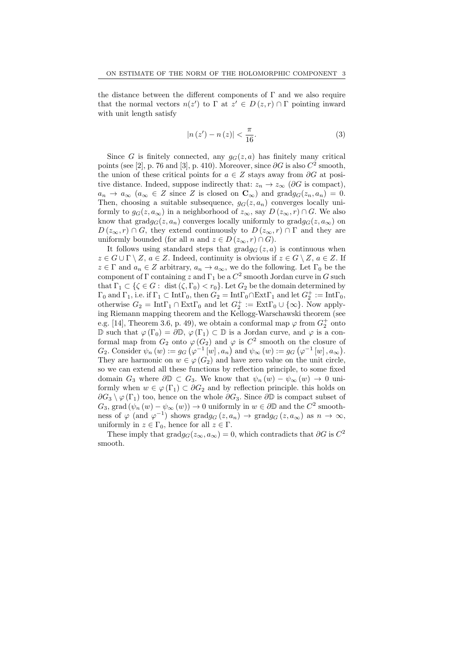the distance between the different components of  $\Gamma$  and we also require that the normal vectors  $n(z')$  to  $\Gamma$  at  $z' \in D(z, r) \cap \Gamma$  pointing inward with unit length satisfy

$$
|n(z') - n(z)| < \frac{\pi}{16}.\tag{3}
$$

Since G is finitely connected, any  $g_G(z, a)$  has finitely many critical points (see [2], p. 76 and [3], p. 410). Moreover, since  $\partial G$  is also  $C^2$  smooth, the union of these critical points for  $a \in Z$  stays away from  $\partial G$  at positive distance. Indeed, suppose indirectly that:  $z_n \to z_\infty$  ( $\partial G$  is compact),  $a_n \to a_\infty$   $(a_\infty \in Z \text{ since } Z \text{ is closed on } \mathbb{C}_\infty)$  and  $\text{grad} g_G(z_n, a_n) = 0$ . Then, choosing a suitable subsequence,  $g_G(z, a_n)$  converges locally uniformly to  $g_G(z, a_{\infty})$  in a neighborhood of  $z_{\infty}$ , say  $D(z_{\infty}, r) \cap G$ . We also know that  $\text{grad}g_G(z, a_n)$  converges locally uniformly to  $\text{grad}g_G(z, a_\infty)$  on  $D(z_{\infty}, r) \cap G$ , they extend continuously to  $D(z_{\infty}, r) \cap \Gamma$  and they are uniformly bounded (for all n and  $z \in D(z_{\infty}, r) \cap G$ ).

It follows using standard steps that  $\text{grad}g_{G}(z, a)$  is continuous when  $z \in G \cup \Gamma \setminus Z$ ,  $a \in Z$ . Indeed, continuity is obvious if  $z \in G \setminus Z$ ,  $a \in Z$ . If  $z \in \Gamma$  and  $a_n \in Z$  arbitrary,  $a_n \to a_\infty$ , we do the following. Let  $\Gamma_0$  be the component of  $\Gamma$  containing z and  $\Gamma_1$  be a  $C^2$  smooth Jordan curve in G such that  $\Gamma_1 \subset \{\zeta \in G: \text{ dist }(\zeta, \Gamma_0) < r_0\}$ . Let  $G_2$  be the domain determined by  $\Gamma_0$  and  $\Gamma_1$ , i.e. if  $\Gamma_1 \subset \text{Int}\Gamma_0$ , then  $G_2 = \text{Int}\Gamma_0 \cap \text{Ext}\Gamma_1$  and let  $G_2^+ := \text{Int}\Gamma_0$ , otherwise  $G_2 = \text{Int}\Gamma_1 \cap \text{Ext}\Gamma_0$  and let  $G_2^+ := \text{Ext}\Gamma_0 \cup \{\infty\}$ . Now applying Riemann mapping theorem and the Kellogg-Warschawski theorem (see e.g. [14], Theorem 3.6, p. 49), we obtain a conformal map  $\varphi$  from  $G_2^+$  onto D such that  $\varphi(\Gamma_0) = \partial \mathbb{D}$ ,  $\varphi(\Gamma_1) \subset \mathbb{D}$  is a Jordan curve, and  $\varphi$  is a conformal map from  $G_2$  onto  $\varphi(G_2)$  and  $\varphi$  is  $C^2$  smooth on the closure of  $G_2$ . Consider  $\psi_n(w) := g_G(\varphi^{-1}[w], a_n)$  and  $\psi_\infty(w) := g_G(\varphi^{-1}[w], a_\infty)$ . They are harmonic on  $w \in \varphi(G_2)$  and have zero value on the unit circle, so we can extend all these functions by reflection principle, to some fixed domain  $G_3$  where  $\partial \mathbb{D} \subset G_3$ . We know that  $\psi_n(w) - \psi_\infty(w) \to 0$  uniformly when  $w \in \varphi(\Gamma_1) \subset \partial G_2$  and by reflection principle. this holds on  $\partial G_3 \setminus \varphi(\Gamma_1)$  too, hence on the whole  $\partial G_3$ . Since  $\partial \mathbb{D}$  is compact subset of  $G_3$ , grad  $(\psi_n(w) - \psi_\infty(w)) \to 0$  uniformly in  $w \in \partial \mathbb{D}$  and the  $C^2$  smoothness of  $\varphi$  (and  $\varphi^{-1}$ ) shows gradg<sub>G</sub> (z, a<sub>n</sub>)  $\rightarrow$  gradg<sub>G</sub> (z, a<sub>∞</sub>) as  $n \rightarrow \infty$ , uniformly in  $z \in \Gamma_0$ , hence for all  $z \in \Gamma$ .

These imply that grad $g_G(z_\infty, a_\infty) = 0$ , which contradicts that ∂G is  $C^2$ smooth.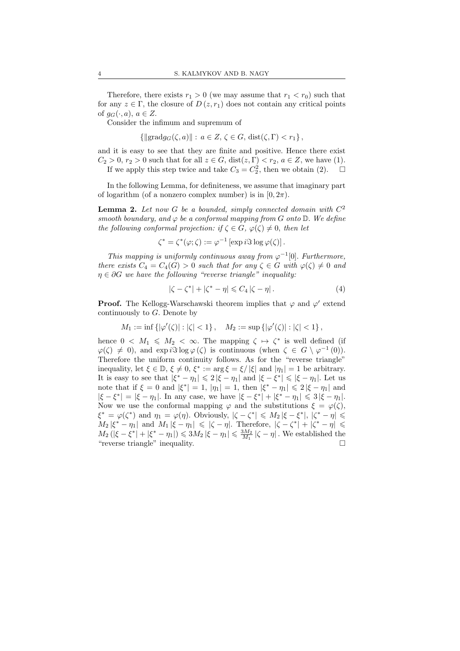Therefore, there exists  $r_1 > 0$  (we may assume that  $r_1 < r_0$ ) such that for any  $z \in \Gamma$ , the closure of  $D(z, r_1)$  does not contain any critical points of  $g_G(\cdot, a)$ ,  $a \in Z$ .

Consider the infimum and supremum of

 ${\{\Vert \text{grad} q_G(\zeta, a) \Vert : a \in Z, \zeta \in G, \text{dist}(\zeta, \Gamma) < r_1 \},\}$ 

and it is easy to see that they are finite and positive. Hence there exist  $C_2 > 0$ ,  $r_2 > 0$  such that for all  $z \in G$ ,  $dist(z, \Gamma) < r_2$ ,  $a \in Z$ , we have (1). If we apply this step twice and take  $C_3 = C_2^2$ , then we obtain (2).  $\Box$ 

In the following Lemma, for definiteness, we assume that imaginary part of logarithm (of a nonzero complex number) is in  $[0, 2\pi)$ .

**Lemma 2.** Let now G be a bounded, simply connected domain with  $C^2$ smooth boundary, and  $\varphi$  be a conformal mapping from G onto  $\mathbb{D}$ . We define the following conformal projection: if  $\zeta \in G$ ,  $\varphi(\zeta) \neq 0$ , then let

$$
\zeta^* = \zeta^*(\varphi; \zeta) := \varphi^{-1} \left[ \exp i \Im \log \varphi(\zeta) \right].
$$

This mapping is uniformly continuous away from  $\varphi^{-1}[0]$ . Furthermore, there exists  $C_4 = C_4(G) > 0$  such that for any  $\zeta \in G$  with  $\varphi(\zeta) \neq 0$  and  $\eta \in \partial G$  we have the following "reverse triangle" inequality:

$$
|\zeta - \zeta^*| + |\zeta^* - \eta| \leq C_4 |\zeta - \eta|.
$$
 (4)

**Proof.** The Kellogg-Warschawski theorem implies that  $\varphi$  and  $\varphi'$  extend continuously to  $G$ . Denote by

$$
M_1 := \inf \{ |\varphi'(\zeta)| : |\zeta| < 1 \}, \quad M_2 := \sup \{ |\varphi'(\zeta)| : |\zeta| < 1 \},
$$

hence  $0 \lt M_1 \leqslant M_2 \lt \infty$ . The mapping  $\zeta \mapsto \zeta^*$  is well defined (if  $\varphi(\zeta) \neq 0$ , and  $\exp i\Im \log \varphi(\zeta)$  is continuous (when  $\zeta \in G \setminus \varphi^{-1}(0)$ ). Therefore the uniform continuity follows. As for the "reverse triangle" inequality, let  $\xi \in \mathbb{D}$ ,  $\xi \neq 0$ ,  $\xi^* := \arg \xi = \xi / |\xi|$  and  $|\eta_1| = 1$  be arbitrary. It is easy to see that  $|\xi^* - \eta_1| \leq 2 |\xi - \eta_1|$  and  $|\xi - \xi^*| \leq |\xi - \eta_1|$ . Let us note that if  $\xi = 0$  and  $|\xi^*| = 1$ ,  $|\eta_1| = 1$ , then  $|\xi^* - \eta_1| \leq 2 |\xi - \eta_1|$  and  $|\xi - \xi^*| = |\xi - \eta_1|$ . In any case, we have  $|\xi - \xi^*| + |\xi^* - \eta_1| \leq 3 |\xi - \eta_1|$ . Now we use the conformal mapping  $\varphi$  and the substitutions  $\xi = \varphi(\zeta)$ ,  $\xi^* = \varphi(\zeta^*)$  and  $\eta_1 = \varphi(\eta)$ . Obviously,  $|\zeta - \zeta^*| \leq M_2 |\xi - \xi^*|$ ,  $|\zeta^* - \eta| \leq$  $M_2 |\xi^* - \eta_1|$  and  $M_1 |\xi - \eta_1| \leqslant |\zeta - \eta|$ . Therefore,  $|\zeta - \zeta^*| + |\zeta^* - \eta| \leqslant$  $M_2 (|\xi - \xi^*| + |\xi^* - \eta_1|) \leq 3M_2 |\xi - \eta_1| \leq \frac{3M_2}{M_1} |\zeta - \eta|$ . We established the "reverse triangle" inequality.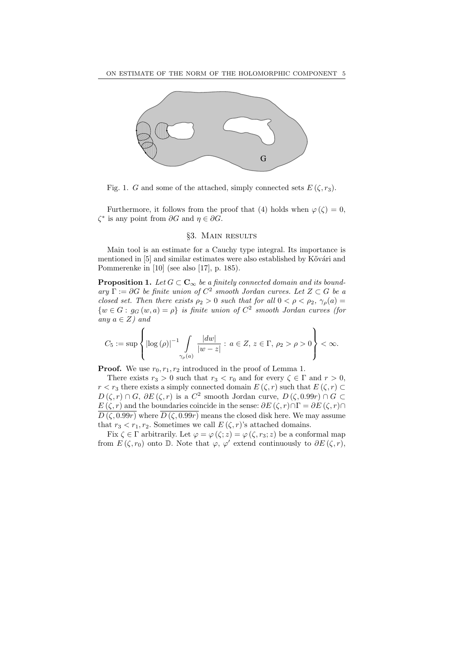

Fig. 1. G and some of the attached, simply connected sets  $E(\zeta, r_3)$ .

Furthermore, it follows from the proof that (4) holds when  $\varphi(\zeta) = 0$ ,  $\zeta^*$  is any point from  $\partial G$  and  $\eta \in \partial G$ .

#### §3. Main results

Main tool is an estimate for a Cauchy type integral. Its importance is mentioned in [5] and similar estimates were also established by Kővári and Pommerenke in [10] (see also [17], p. 185).

**Proposition 1.** Let  $G \subset \mathbf{C}_{\infty}$  be a finitely connected domain and its bound- $\arg \Gamma := \partial G$  be finite union of  $C^2$  smooth Jordan curves. Let  $Z \subset G$  be a closed set. Then there exists  $\rho_2 > 0$  such that for all  $0 < \rho < \rho_2$ ,  $\gamma_o(a) =$  $\{w \in G : g_G(w, a) = \rho\}$  is finite union of  $C^2$  smooth Jordan curves (for any  $a \in Z$ ) and

$$
C_5 := \sup \left\{ \left| \log \left( \rho \right) \right|^{-1} \int\limits_{\gamma_{\rho}(a)} \frac{|dw|}{|w - z|} : \, a \in Z, \, z \in \Gamma, \, \rho_2 > \rho > 0 \right\} < \infty.
$$

**Proof.** We use  $r_0, r_1, r_2$  introduced in the proof of Lemma 1.

There exists  $r_3 > 0$  such that  $r_3 < r_0$  and for every  $\zeta \in \Gamma$  and  $r > 0$ ,  $r < r_3$  there exists a simply connected domain  $E(\zeta, r)$  such that  $E(\zeta, r) \subset$  $D(\zeta,r) \cap G$ ,  $\partial E(\zeta,r)$  is a  $C^2$  smooth Jordan curve,  $D(\zeta,0.99r) \cap G \subset$  $E(\zeta,r)$  and the boundaries coincide in the sense:  $\partial E(\zeta,r) \cap \Gamma = \partial E(\zeta,r) \cap \Gamma$  $\overline{D(\zeta,0.99r)}$  where  $\overline{D(\zeta,0.99r)}$  means the closed disk here. We may assume that  $r_3 < r_1, r_2$ . Sometimes we call  $E(\zeta, r)$ 's attached domains.

Fix  $\zeta \in \Gamma$  arbitrarily. Let  $\varphi = \varphi(\zeta; z) = \varphi(\zeta, r_3; z)$  be a conformal map from  $E(\zeta,r_0)$  onto D. Note that  $\varphi, \varphi'$  extend continuously to  $\partial E(\zeta,r)$ ,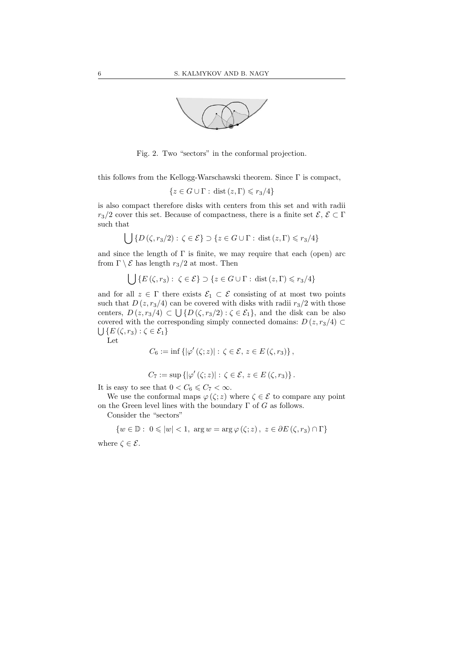

Fig. 2. Two "sectors" in the conformal projection.

this follows from the Kellogg-Warschawski theorem. Since Γ is compact,

$$
\{z \in G \cup \Gamma : \text{dist}(z, \Gamma) \leq r_3/4\}
$$

is also compact therefore disks with centers from this set and with radii  $r_3/2$  cover this set. Because of compactness, there is a finite set  $\mathcal{E}, \mathcal{E} \subset \Gamma$ such that

$$
\bigcup \{ D\left(\zeta, r_3/2\right) : \zeta \in \mathcal{E} \} \supset \{ z \in G \cup \Gamma : \text{dist}\left(z, \Gamma\right) \leqslant r_3/4 \}
$$

and since the length of  $\Gamma$  is finite, we may require that each (open) arc from  $\Gamma \setminus \mathcal{E}$  has length  $r_3/2$  at most. Then

$$
\bigcup \{ E(\zeta, r_3) : \ \zeta \in \mathcal{E} \} \supset \{ z \in G \cup \Gamma : \, \text{dist}(z, \Gamma) \leqslant r_3/4 \}
$$

and for all  $z \in \Gamma$  there exists  $\mathcal{E}_1 \subset \mathcal{E}$  consisting of at most two points such that  $D(z, r_3/4)$  can be covered with disks with radii  $r_3/2$  with those centers,  $D(z, r_3/4) \subset \bigcup \{ D(\zeta, r_3/2) : \zeta \in \mathcal{E}_1 \}$ , and the disk can be also covered with the corresponding simply connected domains:  $D(z, r_3/4) \subset$  $\bigcup \{E\left(\zeta,r_3\right): \zeta \in \mathcal{E}_1\}$ 

Let

$$
C_6 := \inf \left\{ |\varphi'(\zeta; z)| : \zeta \in \mathcal{E}, \, z \in E(\zeta, r_3) \right\},\,
$$

$$
C_7 := \sup \left\{ |\varphi'(\zeta; z)| : \zeta \in \mathcal{E}, \, z \in E(\zeta, r_3) \right\}.
$$

It is easy to see that  $0 < C_6 \leq C_7 < \infty$ .

We use the conformal maps 
$$
\varphi(\zeta; z)
$$
 where  $\zeta \in \mathcal{E}$  to compare any point  
on the Green level lines with the boundary  $\Gamma$  of G as follows.

Consider the "sectors"

$$
\{w \in \mathbb{D}: \ 0 \leqslant |w| < 1, \ \arg w = \arg \varphi\left(\zeta;z\right), \ z \in \partial E\left(\zeta,r_3\right) \cap \Gamma\}
$$

where  $\zeta \in \mathcal{E}$ .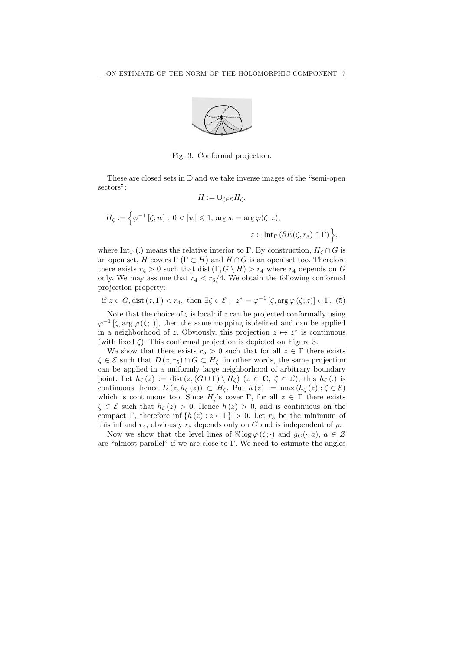

Fig. 3. Conformal projection.

These are closed sets in D and we take inverse images of the "semi-open sectors":

$$
H:=\cup_{\zeta\in\mathcal{E}}H_{\zeta},
$$

$$
H_{\zeta} := \left\{ \varphi^{-1} \left[ \zeta; w \right] : \ 0 < |w| \leq 1, \ \arg w = \arg \varphi(\zeta; z), \right\}
$$
\n
$$
z \in \text{Int}_{\Gamma} \left( \partial E(\zeta, r_3) \cap \Gamma \right) \right\},
$$

where Int<sub>Γ</sub> (.) means the relative interior to Γ. By construction,  $H_\zeta \cap G$  is an open set, H covers  $\Gamma$  ( $\Gamma \subset H$ ) and  $H \cap G$  is an open set too. Therefore there exists  $r_4 > 0$  such that dist  $(\Gamma, G \setminus H) > r_4$  where  $r_4$  depends on G only. We may assume that  $r_4 < r_3/4$ . We obtain the following conformal projection property:

if 
$$
z \in G
$$
, dist  $(z, \Gamma) < r_4$ , then  $\exists \zeta \in \mathcal{E} : z^* = \varphi^{-1} [\zeta, \arg \varphi(\zeta; z)] \in \Gamma$ . (5)

Note that the choice of  $\zeta$  is local: if z can be projected conformally using  $\varphi^{-1}$  [ $\zeta$ , arg  $\varphi$  ( $\zeta$ ;.)], then the same mapping is defined and can be applied in a neighborhood of z. Obviously, this projection  $z \mapsto z^*$  is continuous (with fixed  $\zeta$ ). This conformal projection is depicted on Figure 3.

We show that there exists  $r_5 > 0$  such that for all  $z \in \Gamma$  there exists  $\zeta \in \mathcal{E}$  such that  $D(z, r_5) \cap G \subset H_{\zeta}$ , in other words, the same projection can be applied in a uniformly large neighborhood of arbitrary boundary point. Let  $h_{\zeta}(z) := \text{dist}(z,(G \cup \Gamma) \setminus H_{\zeta})$   $(z \in \mathbb{C}, \zeta \in \mathcal{E})$ , this  $h_{\zeta}(\zeta)$  is continuous, hence  $D(z, h_{\zeta}(z)) \subset H_{\zeta}$ . Put  $h(z) := \max(h_{\zeta}(z) : \zeta \in \mathcal{E})$ which is continuous too. Since  $H_{\zeta}$ 's cover Γ, for all  $z \in \Gamma$  there exists  $\zeta \in \mathcal{E}$  such that  $h_{\zeta}(z) > 0$ . Hence  $h(z) > 0$ , and is continuous on the compact Γ, therefore inf  $\{h(z): z \in \Gamma\} > 0$ . Let  $r_5$  be the minimum of this inf and  $r_4$ , obviously  $r_5$  depends only on G and is independent of  $\rho$ .

Now we show that the level lines of  $\Re \log \varphi(\zeta; \cdot)$  and  $g_G(\cdot, a)$ ,  $a \in Z$ are "almost parallel" if we are close to Γ. We need to estimate the angles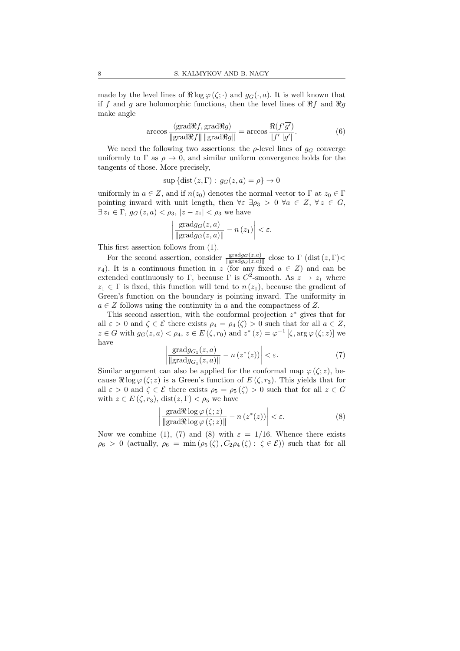made by the level lines of  $\Re \log \varphi(\zeta; \cdot)$  and  $g_G(\cdot, a)$ . It is well known that if f and g are holomorphic functions, then the level lines of  $\Re f$  and  $\Re g$ make angle

$$
\arccos \frac{\langle \text{grad} \Re f, \text{grad} \Re g \rangle}{\|\text{grad} \Re f\| \, \|\text{grad} \Re g\|} = \arccos \frac{\Re (f'\overline{g'})}{|f'||g'|}. \tag{6}
$$

We need the following two assertions: the  $\rho$ -level lines of  $g_G$  converge uniformly to  $\Gamma$  as  $\rho \to 0$ , and similar uniform convergence holds for the tangents of those. More precisely,

$$
\sup\{\text{dist}\,(z,\Gamma):\,g_G(z,a)=\rho\}\to 0
$$

uniformly in  $a \in Z$ , and if  $n(z_0)$  denotes the normal vector to  $\Gamma$  at  $z_0 \in \Gamma$ pointing inward with unit length, then  $\forall \varepsilon \exists \rho_3 > 0 \ \forall a \in Z, \ \forall z \in G$ ,  $\exists z_1 \in \Gamma$ ,  $g_G(z, a) < \rho_3$ ,  $|z - z_1| < \rho_3$  we have

$$
\left|\frac{\text{grad}g_G(z,a)}{\|\text{grad}g_G(z,a)\|} - n(z_1)\right| < \varepsilon.
$$

This first assertion follows from (1).

For the second assertion, consider  $\frac{\text{grad}g_G(z,a)}{\|\text{grad}g_G(z,a)\|}$  close to  $\Gamma$  (dist  $(z,\Gamma)$ )  $r_4$ ). It is a continuous function in z (for any fixed  $a \in Z$ ) and can be extended continuously to  $\Gamma$ , because  $\Gamma$  is  $C^2$ -smooth. As  $z \to z_1$  where  $z_1 \in \Gamma$  is fixed, this function will tend to  $n(z_1)$ , because the gradient of Green's function on the boundary is pointing inward. The uniformity in  $a \in \mathbb{Z}$  follows using the continuity in a and the compactness of  $\mathbb{Z}$ .

This second assertion, with the conformal projection  $z^*$  gives that for all  $\varepsilon > 0$  and  $\zeta \in \mathcal{E}$  there exists  $\rho_4 = \rho_4(\zeta) > 0$  such that for all  $a \in \mathbb{Z}$ ,  $z \in G$  with  $g_G(z, a) < \rho_4$ ,  $z \in E(\zeta, r_0)$  and  $z^*(z) = \varphi^{-1}[\zeta, \arg \varphi(\zeta; z)]$  we have

$$
\left| \frac{\text{grad} g_{G_1}(z, a)}{\|\text{grad} g_{G_1}(z, a)\|} - n\left(z^*(z)\right) \right| < \varepsilon. \tag{7}
$$

Similar argument can also be applied for the conformal map  $\varphi(\zeta; z)$ , because  $\Re \log \varphi(\zeta; z)$  is a Green's function of  $E(\zeta, r_3)$ . This yields that for all  $\varepsilon > 0$  and  $\zeta \in \mathcal{E}$  there exists  $\rho_5 = \rho_5(\zeta) > 0$  such that for all  $z \in G$ with  $z \in E(\zeta, r_3)$ , dist $(z, \Gamma) < \rho_5$  we have

$$
\left| \frac{\text{grad}\Re\log\varphi\left(\zeta;z\right)}{\|\text{grad}\Re\log\varphi\left(\zeta;z\right)\|} - n\left(z^*(z)\right) \right| < \varepsilon. \tag{8}
$$

Now we combine (1), (7) and (8) with  $\varepsilon = 1/16$ . Whence there exists  $\rho_6 > 0$  (actually,  $\rho_6 = \min(\rho_5(\zeta), C_2\rho_4(\zeta) : \zeta \in \mathcal{E})$ ) such that for all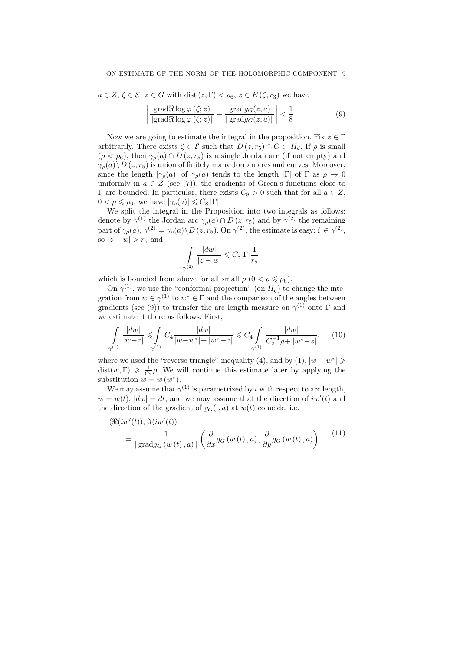$a \in Z, \zeta \in \mathcal{E}, z \in G$  with dist  $(z, \Gamma) < \rho_6, z \in E(\zeta, r_3)$  we have

$$
\left| \frac{\text{grad}\Re\log\varphi\left(\zeta;z\right)}{\|\text{grad}\Re\log\varphi\left(\zeta;z\right)\|} - \frac{\text{grad}g_G(z,a)}{\|\text{grad}g_G(z,a)\|} \right| < \frac{1}{8} \,. \tag{9}
$$

Now we are going to estimate the integral in the proposition. Fix  $z \in \Gamma$ arbitrarily. There exists  $\zeta \in \mathcal{E}$  such that  $D(z, r_5) \cap G \subset H_{\zeta}$ . If  $\rho$  is small  $(\rho < \rho_6)$ , then  $\gamma_\rho(a) \cap D(z, r_5)$  is a single Jordan arc (if not empty) and  $\gamma_{\rho}(a)\backslash D(z, r_5)$  is union of finitely many Jordan arcs and curves. Moreover, since the length  $|\gamma_{\rho}(a)|$  of  $\gamma_{\rho}(a)$  tends to the length  $|\Gamma|$  of  $\Gamma$  as  $\rho \to 0$ uniformly in  $a \in Z$  (see (7)), the gradients of Green's functions close to Γ are bounded. In particular, there exists  $C_8 > 0$  such that for all  $a \in Z$ ,  $0 < \rho \leq \rho_6$ , we have  $|\gamma_{\rho}(a)| \leq C_8 |\Gamma|.$ 

We split the integral in the Proposition into two integrals as follows: denote by  $\gamma^{(1)}$  the Jordan arc  $\gamma_{\rho}(a) \cap D(z, r_5)$  and by  $\gamma^{(2)}$  the remaining part of  $\gamma_{\rho}(a), \gamma^{(2)} = \gamma_{\rho}(a) \backslash D(z, r_5)$ . On  $\gamma^{(2)}$ , the estimate is easy:  $\zeta \in \gamma^{(2)}$ , so  $|z - w| > r_5$  and

$$
\int\limits_{\gamma^{(2)}} \frac{|dw|}{|z-w|} \leqslant C_8 |\Gamma| \frac{1}{r_5}
$$

which is bounded from above for all small  $\rho$   $(0 < \rho \leq \rho_6)$ .

On  $\gamma^{(1)}$ , we use the "conformal projection" (on  $H_{\zeta}$ ) to change the integration from  $w \in \gamma^{(1)}$  to  $w^* \in \Gamma$  and the comparison of the angles between gradients (see (9)) to transfer the arc length measure on  $\gamma^{(1)}$  onto  $\Gamma$  and we estimate it there as follows. First,

$$
\int_{\gamma^{(1)}} \frac{|dw|}{|w-z|} \leq \int_{\gamma^{(1)}} C_4 \frac{|dw|}{|w-w^*|+|w^*-z|} \leq C_4 \int_{\gamma^{(1)}} \frac{|dw|}{C_2^{-1}\rho+|w^*-z|},\qquad(10)
$$

where we used the "reverse triangle" inequality (4), and by (1),  $|w - w^*| \ge$  $dist(w, \Gamma) \geq \frac{1}{C_2} \rho$ . We will continue this estimate later by applying the substitution  $w = w(w^*)$ .

We may assume that  $\gamma^{(1)}$  is parametrized by t with respect to arc length,  $w = w(t)$ ,  $|dw| = dt$ , and we may assume that the direction of  $iw'(t)$  and the direction of the gradient of  $g_G(\cdot, a)$  at  $w(t)$  coincide, i.e.

$$
(\Re(iw'(t)), \Im(iw'(t))
$$
  
= 
$$
\frac{1}{\|\text{grad}g_G(w(t), a)\|} \left(\frac{\partial}{\partial x}g_G(w(t), a), \frac{\partial}{\partial y}g_G(w(t), a)\right).
$$
 (11)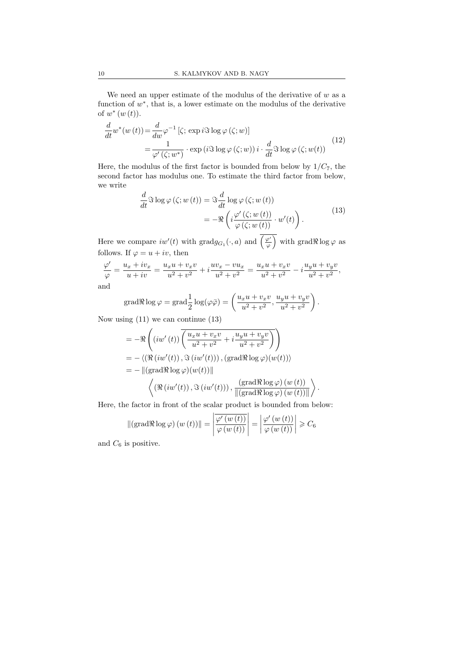We need an upper estimate of the modulus of the derivative of  $w$  as a function of  $w^*$ , that is, a lower estimate on the modulus of the derivative of  $w^*(w(t))$ .

$$
\frac{d}{dt}w^*(w(t)) = \frac{d}{dw}\varphi^{-1}[\zeta; \exp i\Im \log \varphi(\zeta; w)]
$$
\n
$$
= \frac{1}{\varphi'(\zeta; w^*)} \cdot \exp (i\Im \log \varphi(\zeta; w)) i \cdot \frac{d}{dt}\Im \log \varphi(\zeta; w(t))
$$
\n(12)

Here, the modulus of the first factor is bounded from below by  $1/C_7$ , the second factor has modulus one. To estimate the third factor from below, we write

$$
\frac{d}{dt}\Im \log \varphi(\zeta; w(t)) = \Im \frac{d}{dt}\log \varphi(\zeta; w(t)) \n= -\Re \left(i\frac{\varphi'(\zeta; w(t))}{\varphi(\zeta; w(t))} \cdot w'(t)\right).
$$
\n(13)

Here we compare  $iw'(t)$  with  $gradg_{G_1}(\cdot, a)$  and  $(\frac{\varphi'}{\varphi})$  with  $grad \Re \log \varphi$  as follows. If  $\varphi = u + iv$ , then

$$
\frac{\varphi'}{\varphi} = \frac{u_x + iv_x}{u + iv} = \frac{u_x u + v_x v}{u^2 + v^2} + i \frac{uv_x - vu_x}{u^2 + v^2} = \frac{u_x u + v_x v}{u^2 + v^2} - i \frac{u_y u + v_y v}{u^2 + v^2},
$$
 and

grad
$$
\Re \log \varphi = \text{grad} \frac{1}{2} \log(\varphi \overline{\varphi}) = \left( \frac{u_x u + v_x v}{u^2 + v^2}, \frac{u_y u + v_y v}{u^2 + v^2} \right).
$$

Now using (11) we can continue (13)

$$
= -\Re\left((iw'(t))\overline{\left(\frac{u_xu + v_xv}{u^2 + v^2} + i\frac{u_yu + v_yv}{u^2 + v^2}\right)}\right)
$$
  
\n
$$
= -\langle (\Re(iw'(t)), \Im(iw'(t))), (\text{grad}\Re\log\varphi)(w(t))\rangle
$$
  
\n
$$
= -\|(\text{grad}\Re\log\varphi)(w(t))\|
$$
  
\n
$$
\langle (\Re(iw'(t)), \Im(iw'(t))), \frac{(\text{grad}\Re\log\varphi)(w(t))}{\|(\text{grad}\Re\log\varphi)(w(t))\|}\rangle.
$$

Here, the factor in front of the scalar product is bounded from below:

$$
\|(\operatorname{grad} \Re \log \varphi) (w(t))\| = \left| \frac{\overline{\varphi'(w(t))}}{\varphi(w(t))} \right| = \left| \frac{\varphi'(w(t))}{\varphi(w(t))} \right| \geq C_6
$$

and  $C_6$  is positive.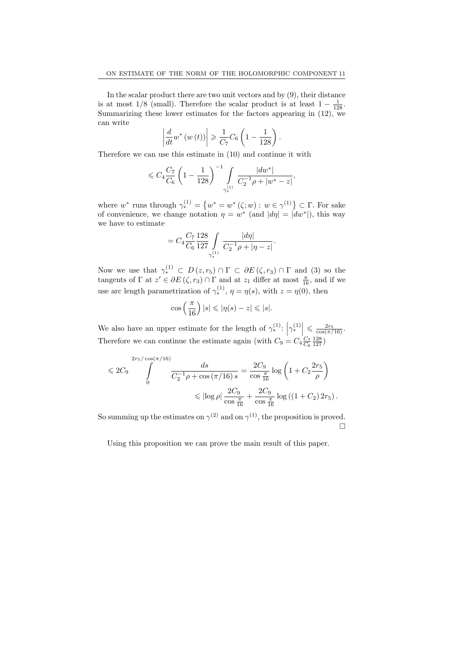In the scalar product there are two unit vectors and by (9), their distance is at most 1/8 (small). Therefore the scalar product is at least  $1 - \frac{1}{128}$ . Summarizing these lower estimates for the factors appearing in  $(12)$ , we can write

$$
\left| \frac{d}{dt} w^* \left( w \left( t \right) \right) \right| \geqslant \frac{1}{C_7} C_6 \left( 1 - \frac{1}{128} \right).
$$

Therefore we can use this estimate in (10) and continue it with

$$
\leqslant C_4 \frac{C_7}{C_6}\left(1-\frac{1}{128}\right)^{-1}\int\limits_{\gamma^{(1)}_*} \frac{|dw^*|}{C_2^{-1}\rho+|w^*-z|},
$$

where  $w^*$  runs through  $\gamma_*^{(1)} = \{w^* = w^*(\zeta; w) : w \in \gamma^{(1)}\} \subset \Gamma$ . For sake of convenience, we change notation  $\eta = w^*$  (and  $|d\eta| = |dw^*|$ ), this way we have to estimate

$$
= C_4 \frac{C_7}{C_6} \frac{128}{127} \int_{\gamma_*^{(1)}} \frac{|d\eta|}{C_2^{-1}\rho + |\eta - z|}.
$$

Now we use that  $\gamma_*^{(1)} \subset D(z,r_5) \cap \Gamma \subset \partial E(\zeta,r_3) \cap \Gamma$  and (3) so the tangents of  $\Gamma$  at  $z' \in \partial E(\zeta, r_3) \cap \Gamma$  and at  $z_1$  differ at most  $\frac{\pi}{16}$ , and if we use arc length parametrization of  $\gamma_*^{(1)}$ ,  $\eta = \eta(s)$ , with  $z = \eta(0)$ , then

$$
\cos\left(\frac{\pi}{16}\right)|s| \le |\eta(s) - z| \le |s|.
$$

We also have an upper estimate for the length of  $\gamma_*^{(1)}$ :  $\left|\gamma_*^{(1)}\right| \leq \frac{2r_5}{\cos(\pi/16)}$ . Therefore we can continue the estimate again (with  $C_9 = C_4 \frac{C_7}{C_6} \frac{128}{127}$ )

$$
\leq 2C_9 \int_{0}^{2r_5/\cos(\pi/16)} \frac{ds}{C_2^{-1}\rho + \cos(\pi/16) s} = \frac{2C_9}{\cos\frac{\pi}{16}} \log\left(1 + C_2 \frac{2r_5}{\rho}\right)
$$

$$
\leq |\log \rho| \frac{2C_9}{\cos\frac{\pi}{16}} + \frac{2C_9}{\cos\frac{\pi}{16}} \log\left((1 + C_2) 2r_5\right).
$$

So summing up the estimates on  $\gamma^{(2)}$  and on  $\gamma^{(1)}$ , the proposition is proved.  $\Box$ 

Using this proposition we can prove the main result of this paper.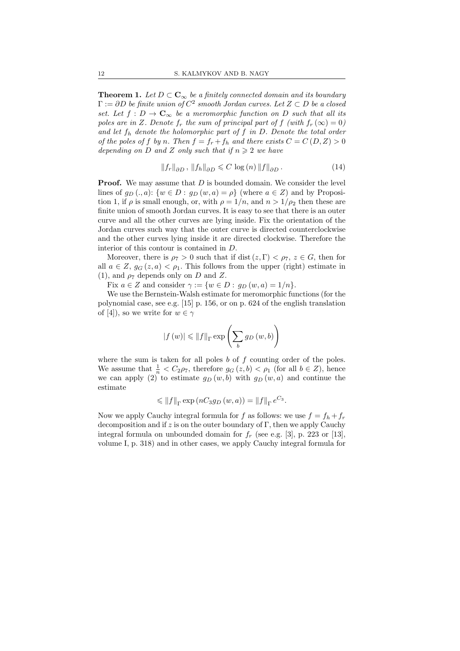**Theorem 1.** Let  $D \subset \mathbb{C}_{\infty}$  be a finitely connected domain and its boundary  $\Gamma := \partial D$  be finite union of  $C^2$  smooth Jordan curves. Let  $Z \subset D$  be a closed set. Let  $f: D \to \mathbf{C}_{\infty}$  be a meromorphic function on D such that all its poles are in Z. Denote  $f_r$  the sum of principal part of f (with  $f_r(\infty) = 0$ ) and let  $f_h$  denote the holomorphic part of f in D. Denote the total order of the poles of f by n. Then  $f = f_r + f_h$  and there exists  $C = C(D, Z) > 0$ depending on D and Z only such that if  $n \geq 2$  we have

$$
||f_r||_{\partial D}, ||f_h||_{\partial D} \leqslant C \log(n) ||f||_{\partial D}. \tag{14}
$$

**Proof.** We may assume that  $D$  is bounded domain. We consider the level lines of  $q_D (., a)$ :  $\{w \in D : q_D (w, a) = \rho\}$  (where  $a \in Z$ ) and by Proposition 1, if  $\rho$  is small enough, or, with  $\rho = 1/n$ , and  $n > 1/\rho_2$  then these are finite union of smooth Jordan curves. It is easy to see that there is an outer curve and all the other curves are lying inside. Fix the orientation of the Jordan curves such way that the outer curve is directed counterclockwise and the other curves lying inside it are directed clockwise. Therefore the interior of this contour is contained in D.

Moreover, there is  $\rho_7 > 0$  such that if dist  $(z, \Gamma) < \rho_7$ ,  $z \in G$ , then for all  $a \in Z$ ,  $g_G(z, a) < \rho_1$ . This follows from the upper (right) estimate in (1), and  $\rho_7$  depends only on D and Z.

Fix  $a \in Z$  and consider  $\gamma := \{w \in D : g_D(w, a) = 1/n\}.$ 

We use the Bernstein-Walsh estimate for meromorphic functions (for the polynomial case, see e.g. [15] p. 156, or on p. 624 of the english translation of [4]), so we write for  $w \in \gamma$ 

$$
\left|f\left(w\right)\right| \leqslant \left\|f\right\|_{\Gamma} \exp\left(\sum_{b} g_D\left(w,b\right)\right)
$$

where the sum is taken for all poles  $b$  of  $f$  counting order of the poles. We assume that  $\frac{1}{n} < C_2 \rho_7$ , therefore  $g_G(z, b) < \rho_1$  (for all  $b \in Z$ ), hence we can apply  $(2)^{n}$  to estimate  $g_D(w, b)$  with  $g_D(w, a)$  and continue the estimate

$$
\leqslant ||f||_{\Gamma} \exp (nC_3g_D (w, a)) = ||f||_{\Gamma} e^{C_3}.
$$

Now we apply Cauchy integral formula for f as follows: we use  $f = f_h + f_r$ decomposition and if z is on the outer boundary of  $\Gamma$ , then we apply Cauchy integral formula on unbounded domain for  $f_r$  (see e.g. [3], p. 223 or [13], volume I, p. 318) and in other cases, we apply Cauchy integral formula for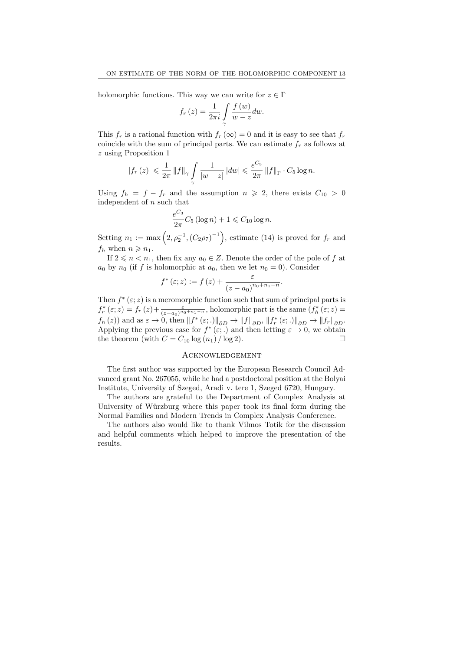holomorphic functions. This way we can write for  $z \in \Gamma$ 

$$
f_r(z) = \frac{1}{2\pi i} \int\limits_{\gamma} \frac{f(w)}{w - z} dw.
$$

This  $f_r$  is a rational function with  $f_r(\infty) = 0$  and it is easy to see that  $f_r$ coincide with the sum of principal parts. We can estimate  $f_r$  as follows at z using Proposition 1

$$
|f_r(z)| \leq \frac{1}{2\pi} ||f||_{\gamma} \int_{\gamma} \frac{1}{|w-z|} |dw| \leqslant \frac{e^{C_3}}{2\pi} ||f||_{\Gamma} \cdot C_5 \log n.
$$

Using  $f_h = f - f_r$  and the assumption  $n \ge 2$ , there exists  $C_{10} > 0$ independent of  $n$  such that

$$
\frac{e^{C_3}}{2\pi}C_5\left(\log n\right) + 1 \leqslant C_{10}\log n.
$$

Setting  $n_1 := \max\left(2, \rho_2^{-1}, (C_2\rho_7)^{-1}\right)$ , estimate (14) is proved for  $f_r$  and  $f_h$  when  $n \geqslant n_1$ .

If  $2 \leq n \leq n_1$ , then fix any  $a_0 \in Z$ . Denote the order of the pole of f at  $a_0$  by  $n_0$  (if f is holomorphic at  $a_0$ , then we let  $n_0 = 0$ ). Consider

$$
f^*(\varepsilon; z) := f(z) + \frac{\varepsilon}{(z - a_0)^{n_0 + n_1 - n}}.
$$

Then  $f^*(\varepsilon; z)$  is a meromorphic function such that sum of principal parts is  $f_r^*(\varepsilon; z) = f_r(z) + \frac{\varepsilon}{(z-a_0)^{n_0+n_1-n}}$ , holomorphic part is the same  $(f_h^*(\varepsilon; z) =$  $f_h(z)$  and as  $\varepsilon \to 0$ , then  $||f^*(\varepsilon;.)||_{\partial D} \to ||f||_{\partial D}$ ,  $||f_r^*(\varepsilon;.)||_{\partial D} \to ||f_r||_{\partial D}$ . Applying the previous case for  $f^*(\varepsilon;.)$  and then letting  $\varepsilon \to 0$ , we obtain the theorem (with  $C = C_{10} \log(n_1) / \log 2$ ).

# Acknowledgement

The first author was supported by the European Research Council Advanced grant No. 267055, while he had a postdoctoral position at the Bolyai Institute, University of Szeged, Aradi v. tere 1, Szeged 6720, Hungary.

The authors are grateful to the Department of Complex Analysis at University of Würzburg where this paper took its final form during the Normal Families and Modern Trends in Complex Analysis Conference.

The authors also would like to thank Vilmos Totik for the discussion and helpful comments which helped to improve the presentation of the results.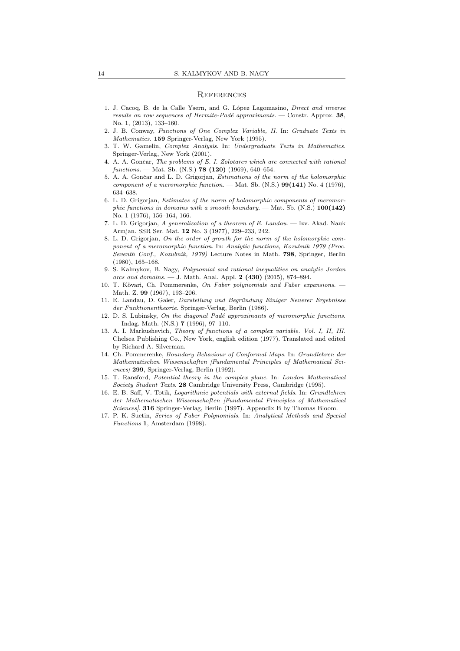#### **REFERENCES**

- 1. J. Cacoq, B. de la Calle Ysern, and G. López Lagomasino, *Direct and inverse* results on row sequences of Hermite-Padé approximants. — Constr. Approx.  $38$ , No. 1, (2013), 133–160.
- 2. J. B. Conway, Functions of One Complex Variable, II. In: Graduate Texts in Mathematics. 159 Springer-Verlag, New York (1995).
- 3. T. W. Gamelin, Complex Analysis. In: Undergraduate Texts in Mathematics. Springer-Verlag, New York (2001).
- 4. A. A. Gončar, The problems of E. I. Zolotarev which are connected with rational  $functions. - Mat.$  Sb.  $(N.S.)$  **78 (120)** (1969), 640–654.
- 5. A. A. Gončar and L. D. Grigorjan, Estimations of the norm of the holomorphic component of a meromorphic function. — Mat. Sb.  $(N.S.)$  99(141) No. 4 (1976), 634–638.
- 6. L. D. Grigorjan, Estimates of the norm of holomorphic components of meromorphic functions in domains with a smooth boundary. — Mat. Sb. (N.S.)  $100(142)$ No. 1 (1976), 156–164, 166.
- 7. L. D. Grigorjan, A generalization of a theorem of E. Landau. Izv. Akad. Nauk Armjan. SSR Ser. Mat. 12 No. 3 (1977), 229–233, 242.
- 8. L. D. Grigorjan, On the order of growth for the norm of the holomorphic component of a meromorphic function. In: Analytic functions, Kozubnik 1979 (Proc. Seventh Conf., Kozubnik, 1979) Lecture Notes in Math. 798, Springer, Berlin (1980), 165–168.
- 9. S. Kalmykov, B. Nagy, Polynomial and rational inequalities on analytic Jordan arcs and domains. — J. Math. Anal. Appl.  $2$  (430) (2015), 874–894.
- 10. T. Kövari, Ch. Pommerenke, On Faber polynomials and Faber expansions. -Math. Z. 99 (1967), 193–206.
- 11. E. Landau, D. Gaier, Darstellung und Begründung Einiger Neuerer Ergebnisse der Funktionentheorie. Springer-Verlag, Berlin (1986).
- 12. D. S. Lubinsky, On the diagonal Padé approximants of meromorphic functions. — Indag. Math. (N.S.) 7 (1996), 97–110.
- 13. A. I. Markushevich, Theory of functions of a complex variable. Vol. I, II, III. Chelsea Publishing Co., New York, english edition (1977). Translated and edited by Richard A. Silverman.
- 14. Ch. Pommerenke, Boundary Behaviour of Conformal Maps. In: Grundlehren der Mathematischen Wissenschaften [Fundamental Principles of Mathematical Sciences] 299, Springer-Verlag, Berlin (1992).
- 15. T. Ransford, Potential theory in the complex plane. In: London Mathematical Society Student Texts. 28 Cambridge University Press, Cambridge (1995).
- 16. E. B. Saff, V. Totik, Logarithmic potentials with external fields. In: Grundlehren der Mathematischen Wissenschaften [Fundamental Principles of Mathematical Sciences]. 316 Springer-Verlag, Berlin (1997). Appendix B by Thomas Bloom.
- 17. P. K. Suetin, Series of Faber Polynomials. In: Analytical Methods and Special Functions 1, Amsterdam (1998).